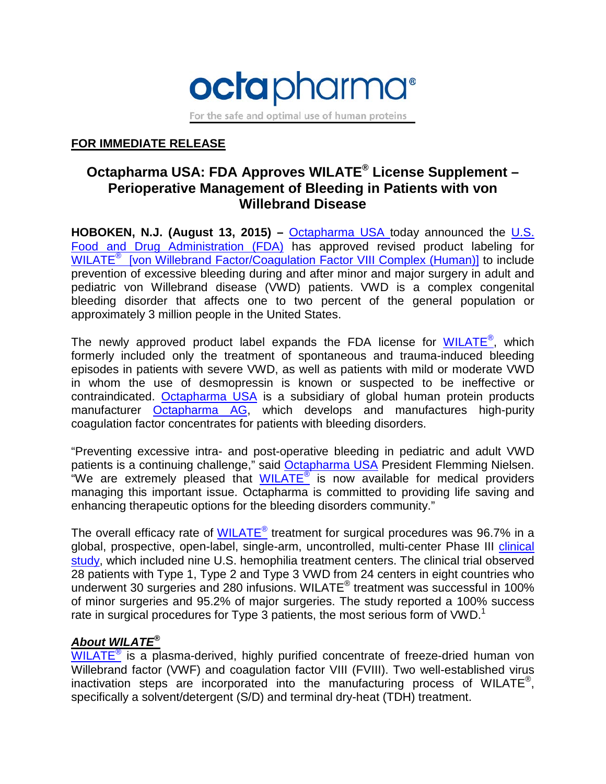

For the safe and optimal use of human proteins

## **FOR IMMEDIATE RELEASE**

# **Octapharma USA: FDA Approves WILATE® License Supplement – Perioperative Management of Bleeding in Patients with von Willebrand Disease**

**HOBOKEN, N.J. (August 13, 2015) –** [Octapharma USA](http://www.octapharmausa.com/) today announced the U.S. [Food and Drug Administration \(FDA\)](http://www.fda.gov/) has approved revised product labeling for WILATE<sup>®</sup> [von Willebrand Factor/Coagulation Factor VIII Complex (Human)] to include prevention of excessive bleeding during and after minor and major surgery in adult and pediatric von Willebrand disease (VWD) patients. VWD is a complex congenital bleeding disorder that affects one to two percent of the general population or approximately 3 million people in the United States.

The newly approved product label expands the FDA license for [WILATE](http://www.wilateusa.com/)<sup>®</sup>, which formerly included only the treatment of spontaneous and trauma-induced bleeding episodes in patients with severe VWD, as well as patients with mild or moderate VWD in whom the use of desmopressin is known or suspected to be ineffective or contraindicated. [Octapharma USA](http://www.octapharmausa.com/) is a subsidiary of global human protein products manufacturer [Octapharma AG,](http://www.octapharma.com/) which develops and manufactures high-purity coagulation factor concentrates for patients with bleeding disorders.

"Preventing excessive intra- and post-operative bleeding in pediatric and adult VWD patients is a continuing challenge," said [Octapharma USA](http://www.octapharmausa.com/) President Flemming Nielsen. "We are extremely pleased that  $WILATE^{\circ}$  $WILATE^{\circ}$  is now available for medical providers managing this important issue. Octapharma is committed to providing life saving and enhancing therapeutic options for the bleeding disorders community."

The overall efficacy rate of  $WILATE^{\circledast}$  treatment for surgical procedures was 96.7% in a global, prospective, open-label, single-arm, uncontrolled, multi-center Phase III [clinical](https://clinicaltrials.gov/ct2/show/study/NCT01365546)  [study,](https://clinicaltrials.gov/ct2/show/study/NCT01365546) which included nine U.S. hemophilia treatment centers. The clinical trial observed 28 patients with Type 1, Type 2 and Type 3 VWD from 24 centers in eight countries who underwent 30 surgeries and 280 infusions. WILATE® treatment was successful in 100% of minor surgeries and 95.2% of major surgeries. The study reported a 100% success rate in surgical procedures for Type 3 patients, the most serious form of VWD.<sup>1</sup>

## *About WILATE®*

 $WILATE^{\circ}$  $WILATE^{\circ}$  is a plasma-derived, highly purified concentrate of freeze-dried human von Willebrand factor (VWF) and coagulation factor VIII (FVIII). Two well-established virus inactivation steps are incorporated into the manufacturing process of WILATE<sup>®</sup>, specifically a solvent/detergent (S/D) and terminal dry-heat (TDH) treatment.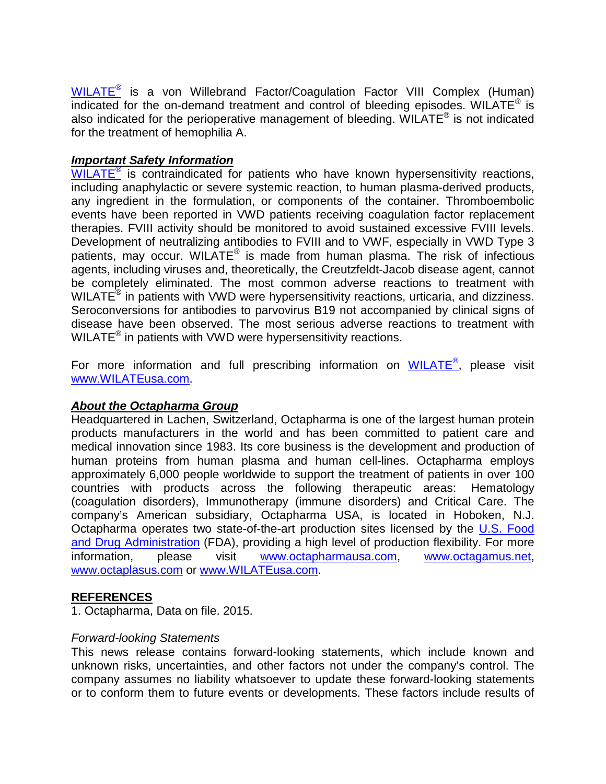[WILATE](http://www.wilateusa.com/)® is a von Willebrand Factor/Coagulation Factor VIII Complex (Human) indicated for the on-demand treatment and control of bleeding episodes. WILATE<sup>®</sup> is also indicated for the perioperative management of bleeding. WILATE<sup>®</sup> is not indicated for the treatment of hemophilia A.

#### *Important Safety Information*

[WILATE](http://www.wilateusa.com/)<sup>®</sup> is contraindicated for patients who have known hypersensitivity reactions, including anaphylactic or severe systemic reaction, to human plasma-derived products, any ingredient in the formulation, or components of the container. Thromboembolic events have been reported in VWD patients receiving coagulation factor replacement therapies. FVIII activity should be monitored to avoid sustained excessive FVIII levels. Development of neutralizing antibodies to FVIII and to VWF, especially in VWD Type 3 patients, may occur. WILATE<sup>®</sup> is made from human plasma. The risk of infectious agents, including viruses and, theoretically, the Creutzfeldt-Jacob disease agent, cannot be completely eliminated. The most common adverse reactions to treatment with WILATE<sup>®</sup> in patients with VWD were hypersensitivity reactions, urticaria, and dizziness. Seroconversions for antibodies to parvovirus B19 not accompanied by clinical signs of disease have been observed. The most serious adverse reactions to treatment with WILATE<sup>®</sup> in patients with VWD were hypersensitivity reactions.

For more information and full prescribing information on  $\underline{\text{WILATE}}^{\textcircled{\tiny{\textregistered}}},$  $\underline{\text{WILATE}}^{\textcircled{\tiny{\textregistered}}},$  $\underline{\text{WILATE}}^{\textcircled{\tiny{\textregistered}}},$  please visit [www.WILATEusa.com.](http://www.wilateusa.com/)

#### *About the Octapharma Group*

Headquartered in Lachen, Switzerland, Octapharma is one of the largest human protein products manufacturers in the world and has been committed to patient care and medical innovation since 1983. Its core business is the development and production of human proteins from human plasma and human cell-lines. Octapharma employs approximately 6,000 people worldwide to support the treatment of patients in over 100 countries with products across the following therapeutic areas: Hematology (coagulation disorders), Immunotherapy (immune disorders) and Critical Care. The company's American subsidiary, Octapharma USA, is located in Hoboken, N.J. Octapharma operates two state-of-the-art production sites licensed by the [U.S. Food](http://www.fda.gov/)  [and Drug Administration](http://www.fda.gov/) (FDA), providing a high level of production flexibility. For more information, please visit [www.octapharmausa.com,](http://www.octapharmausa.com/) [www.octagamus.net,](http://www.octagamus.net/) [www.octaplasus.com](http://www.octaplasus.com/) or [www.WILATEusa.com.](http://www.wilateusa.com/)

### **REFERENCES**

1. Octapharma, Data on file. 2015.

#### *Forward-looking Statements*

This news release contains forward-looking statements, which include known and unknown risks, uncertainties, and other factors not under the company's control. The company assumes no liability whatsoever to update these forward-looking statements or to conform them to future events or developments. These factors include results of